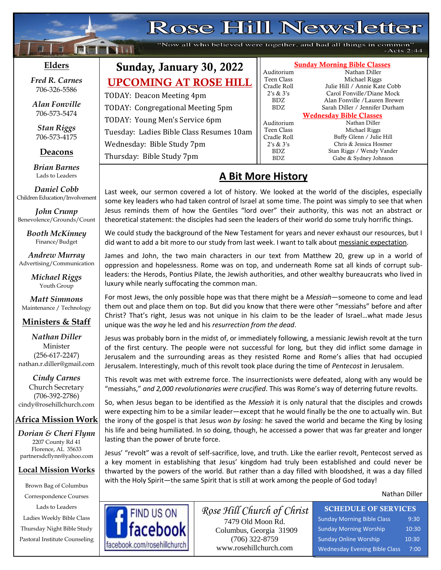# Rose Hill Newsletter

"Now all who believed were together, and had all things in common"  $-Acts 2:44$ 

### **Elders**

 $\mathbf{f}$ 

**;30Ma\*``**

**Following National** 

*Fred R. Carnes* 706-326-5586

*Alan Fonville* 706-573-5474

*Stan Riggs* 706-573-4175

#### **Deacons**

**;**  *Brian Barnes* Lads to Leaders

*Daniel Cobb* Children Education/Involvement

*John Crump* Benevolence/Grounds/Count

> *Booth McKinney* Finance/Budget

*Andrew Murray* Advertising/Communication

> *Michael Riggs* Youth Group

*Matt Simmons* Maintenance / Technology

#### **Ministers & Staff**

*Nathan Diller* Minister (256-617-2247) nathan.r.diller@gmail.com

*Cindy Carnes* Church Secretary (706-392-2786) cindy@rosehillchurch.com

### **Africa Mission Work**

*Dorian & Cheri Flynn* 2207 County Rd 41 Florence, AL 35633 [partnersdcflynn@yahoo.com](mailto:partnersdcflynn@yahoo.com)

#### **Local Mission Works**

Brown Bag of Columbus Correspondence Courses Lads to Leaders Ladies Weekly Bible Class Thursday Night Bible Study Pastoral Institute Counseling

# Sunday, January 30, 2022 UPCOMING AT ROSE HILL TODAY: Deacon Meeting 4pm

TODAY: Congregational Meeting 5pm TODAY: Young Men's Service 6pm Tuesday: Ladies Bible Class Resumes 10am Wednesday: Bible Study 7pm Thursday: Bible Study 7pm

BDZ Sarah Diller / Jennifer Durham

#### Sunday Morning Bible Classes Auditorium Nathan Diller Teen Class Michael Riggs Cradle Roll Julie Hill / Annie Kate Cobb 2's & 3's Carol Fonville/Diane Mock BDZ Alan Fonville /Lauren Brewer

Wednesday Bible Classes Auditorium Nathan Diller Teen Class Michael Riggs

Cradle Roll Buffy Glenn / Julie Hill 2's & 3's Chris & Jessica Hosmer BDZ Stan Riggs / Wendy Vander<br>BDZ Gabe & Sydney Johnson Gabe & Sydney Johnson

# **A Bit More History**

Last week, our sermon covered a lot of history. We looked at the world of the disciples, especially some key leaders who had taken control of Israel at some time. The point was simply to see that when Jesus reminds them of how the Gentiles "lord over" their authority, this was not an abstract or theoretical statement: the disciples had seen the leaders of their world do some truly horrific things.

We could study the background of the New Testament for years and never exhaust our resources, but I did want to add a bit more to our study from last week. I want to talk about messianic expectation.

James and John, the two main characters in our text from Matthew 20, grew up in a world of oppression and hopelessness. Rome was on top, and underneath Rome sat all kinds of corrupt subleaders: the Herods, Pontius Pilate, the Jewish authorities, and other wealthy bureaucrats who lived in luxury while nearly suffocating the common man.

For most Jews, the only possible hope was that there might be a *Messiah*—someone to come and lead them out and place them on top. But did you know that there were other "messiahs" before and after Christ? That's right, Jesus was not unique in his claim to be the leader of Israel…what made Jesus unique was the *way* he led and his *resurrection from the dead*.

Jesus was probably born in the midst of, or immediately following, a messianic Jewish revolt at the turn of the first century. The people were not successful for long, but they did inflict some damage in Jerusalem and the surrounding areas as they resisted Rome and Rome's allies that had occupied Jerusalem. Interestingly, much of this revolt took place during the time of *Pentecost* in Jerusalem.

This revolt was met with extreme force. The insurrectionists were defeated, along with any would be "messiahs," *and 2,000 revolutionaries were crucified*. This was Rome's way of deterring future revolts.

So, when Jesus began to be identified as the *Messiah* it is only natural that the disciples and crowds were expecting him to be a similar leader—except that he would finally be the one to actually win. But the irony of the gospel is that Jesus *won by losing*: he saved the world and became the King by losing his life and being humiliated. In so doing, though, he accessed a power that was far greater and longer lasting than the power of brute force.

Jesus' "revolt" was a revolt of self-sacrifice, love, and truth. Like the earlier revolt, Pentecost served as a key moment in establishing that Jesus' kingdom had truly been established and could never be thwarted by the powers of the world. But rather than a day filled with bloodshed, it was a day filled with the Holy Spirit—the same Spirit that is still at work among the people of God today!

Nathan Diller



*Rose Hill Church of Christ* 7479 Old Moon Rd. Columbus, Georgia 31909 (706) 322-8759 www.rosehillchurch.com

SCHEDULE OF SERVICES Sunday Morning Bible Class 9:30 Sunday Morning Worship 10:30 Sunday Online Worship 10:30 Wednesday Evening Bible Class 7:00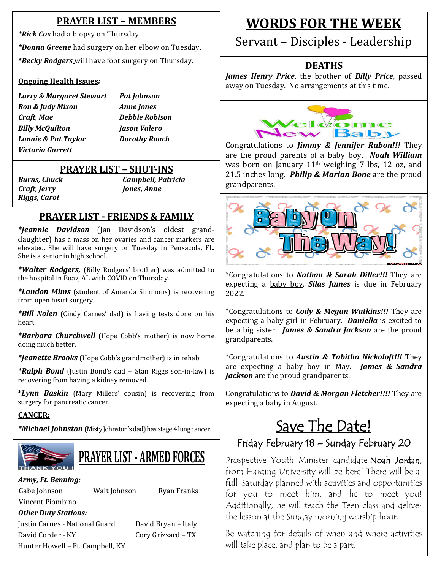# **PRAYER LIST – MEMBERS**

*\*Rick Cox* had a biopsy on Thursday.

*\*Donna Greene* had surgery on her elbow on Tuesday.

*\*Becky Rodgers* will have foot surgery on Thursday.

#### **Ongoing Health Issues***:*

*Larry & Margaret Stewart Pat Johnson Ron & Judy Mixon Anne Jones Craft, Mae Debbie Robison Billy McQuilton Jason Valero Lonnie & Pat Taylor Dorothy Roach Victoria Garrett*

# **PRAYER LIST – SHUT-INS**

*Craft, Jerry Jones, Anne Riggs, Carol*

*Burns, Chuck Campbell, Patricia*

# **PRAYER LIST - FRIENDS & FAMILY**

*\*Jeannie Davidson* (Jan Davidson's oldest granddaughter) has a mass on her ovaries and cancer markers are elevated. She will have surgery on Tuesday in Pensacola, FL. She is a senior in high school.

 the hospital in Boaz, AL with COVID on Thursday. *\*Walter Rodgers,* (Billy Rodgers' brother) was admitted to

*\*Landon Mims* (student of Amanda Simmons) is recovering from open heart surgery.

*\*Bill Nolen* (Cindy Carnes' dad) is having tests done on his heart.

*\*Barbara Churchwell* (Hope Cobb's mother) is now home doing much better.

*\*Jeanette Brooks* (Hope Cobb's grandmother) is in rehab.

*\*Ralph Bond* (Justin Bond's dad – Stan Riggs son-in-law) is recovering from having a kidney removed.

\**Lynn Baskin* (Mary Millers' cousin) is recovering from surgery for pancreatic cancer.

#### **CANCER:**

*\*Michael Johnston* (Misty Johnston's dad) has stage 4 lung cancer.



# **PRAYER LIST - ARMED FORCES**

| Army, Ft. Benning:               |              |                     |                    |  |  |  |
|----------------------------------|--------------|---------------------|--------------------|--|--|--|
| Gabe Johnson                     | Walt Johnson |                     | <b>Ryan Franks</b> |  |  |  |
| Vincent Piombino                 |              |                     |                    |  |  |  |
| <b>Other Duty Stations:</b>      |              |                     |                    |  |  |  |
| Justin Carnes - National Guard   |              | David Bryan - Italy |                    |  |  |  |
| David Corder - KY                |              | Cory Grizzard - TX  |                    |  |  |  |
| Hunter Howell - Ft. Campbell, KY |              |                     |                    |  |  |  |

# **WORDS FOR THE WEEK**

Servant – Disciples - Leadership

## **DEATHS**

*James Henry Price*, the brother of *Billy Price*, passed away on Tuesday. No arrangements at this time.



Congratulations to *Jimmy & Jennifer Rabon!!!* They are the proud parents of a baby boy. *Noah William* was born on January  $11<sup>th</sup>$  weighing 7 lbs, 12 oz, and 21.5 inches long. *Philip & Marian Bone* are the proud grandparents.



\*Congratulations to *Nathan & Sarah Diller!!!* They are expecting a baby boy, *Silas James* is due in February 2022.

\*Congratulations to *Cody & Megan Watkins!!!* They are expecting a baby girl in February. *Daniella* is excited to be a big sister. *James & Sandra Jackson* are the proud grandparents.

\*Congratulations to *Austin & Tabitha Nickoloft!!!* They are expecting a baby boy in May*. James & Sandra Jackson* are the proud grandparents.

Congratulations to *David & Morgan Fletcher!!!!* They are expecting a baby in August.

# Save The Date!

# Friday February 18 – Sunday February 20

Prospective Youth Minister candidate Noah Jordan, from Harding University will be here! There will be a full Saturday planned with activities and opportunities for you to meet him, and he to meet you! Additionally, he will teach the Teen class and deliver the lesson at the Sunday morning worship hour.

Be watching for details of when and where activities will take place, and plan to be a part!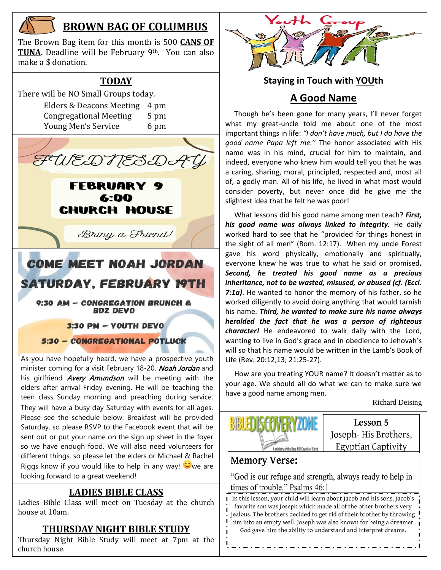

# **BROWN BAG OF COLUMBUS**

The Brown Bag item for this month is 500 **CANS OF TUNA.** Deadline will be February 9<sup>th</sup>. You can also make a \$ donation.

#### **TODAY**

There will be NO Small Groups today.

Elders & Deacons Meeting 4 pm Congregational Meeting 5 pm Young Men's Service 6 pm



As you have hopefully heard, we have a prospective youth minister coming for a visit February 18-20. Noah Jordan and his girlfriend *Avery Amundson* will be meeting with the elders after arrival Friday evening. He will be teaching the teen class Sunday morning and preaching during service. They will have a busy day Saturday with events for all ages. Please see the schedule below. Breakfast will be provided Saturday, so please RSVP to the Facebook event that will be sent out or put your name on the sign up sheet in the foyer so we have enough food. We will also need volunteers for different things, so please let the elders or Michael & Rachel Riggs know if you would like to help in any way! We are looking forward to a great weekend!

# **LADIES BIBLE CLASS**

Ladies Bible Class will meet on Tuesday at the church house at 10am.

# **THURSDAY NIGHT BIBLE STUDY**

Thursday Night Bible Study will meet at 7pm at the<br>church.house church house.



#### **Staying in Touch with YOUth**

# **A Good Name**

 Though he's been gone for many years, I'll never forget what my great-uncle told me about one of the most important things in life: *"I don't have much, but I do have the good name Papa left me."* The honor associated with His name was in his mind, crucial for him to maintain, and indeed, everyone who knew him would tell you that he was a caring, sharing, moral, principled, respected and, most all of, a godly man. All of his life, he lived in what most would consider poverty, but never once did he give me the slightest idea that he felt he was poor!

 What lessons did his good name among men teach? *First, his good name was always linked to integrity.* He daily worked hard to see that he "provided for things honest in the sight of all men" (Rom. 12:17). When my uncle Forest gave his word physically, emotionally and spiritually, everyone knew he was true to what he said or promised*. Second, he treated his good name as a precious inheritance, not to be wasted, misused, or abused (cf. (Eccl. 7:1a)*. He wanted to honor the memory of his father, so he worked diligently to avoid doing anything that would tarnish his name. *Third, he wanted to make sure his name always heralded the fact that he was a person of righteous character!* He endeavored to walk daily with the Lord, wanting to live in God's grace and in obedience to Jehovah's will so that his name would be written in the Lamb's Book of Life (Rev. 20:12,13; 21:25-27).

 How are you treating YOUR name? It doesn't matter as to your age. We should all do what we can to make sure we have a good name among men.

Richard Deising



Lesson 5 Joseph-His Brothers, Egyptian Captivity

# **Memory Verse:**

"God is our refuge and strength, always ready to help in times of trouble." Psalms 46:1

I In this lesson, your child will learn about Jacob and his sons. Jacob's favorite son was Joseph which made all of the other brothers very jealous. The brothers decided to get rid of their brother by throwing him into an empty well. Joseph was also known for being a dreamer. God gave him the ability to understand and interpret dreams.